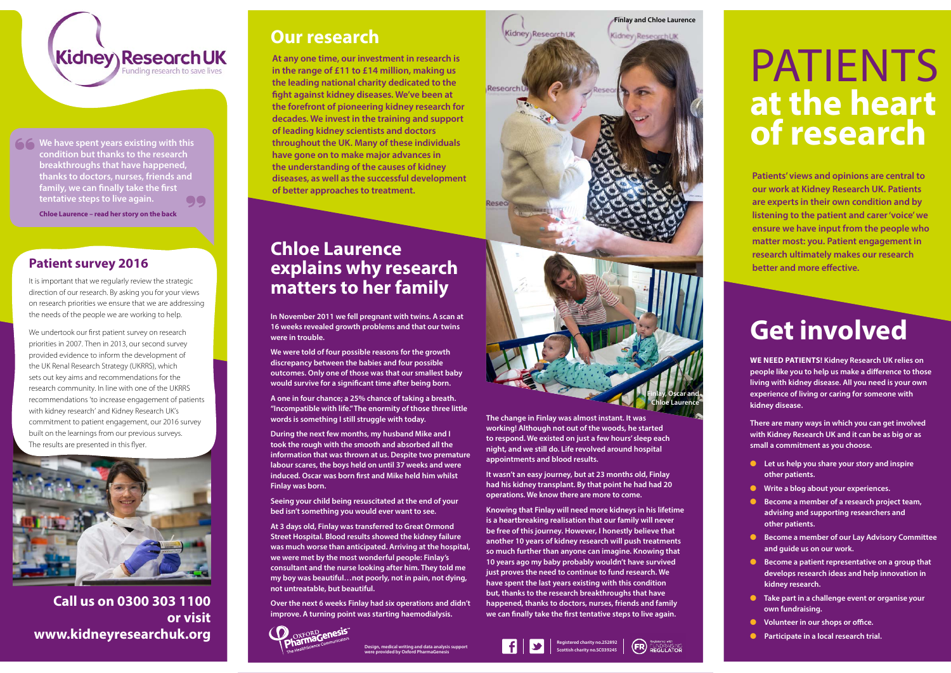## Kidney Research UK unding research to save lives

**166 We have spent years existing with this condition but thanks to the research breakthroughs that have happened, thanks to doctors, nurses, friends and family, we can finally take the first tentative steps to live again.** QO

# PATIENTS **at the heart of research**

**Patients' views and opinions are central to our work at Kidney Research UK. Patients are experts in their own condition and by listening to the patient and carer 'voice' we ensure we have input from the people who matter most: you. Patient engagement in research ultimately makes our research better and more effective.**

## **Chloe Laurence explains why research matters to her family**

**In November 2011 we fell pregnant with twins. A scan at 16 weeks revealed growth problems and that our twins were in trouble.**

**We were told of four possible reasons for the growth discrepancy between the babies and four possible outcomes. Only one of those was that our smallest baby would survive for a significant time after being born.** 

**A one in four chance; a 25% chance of taking a breath. "Incompatible with life." The enormity of those three little words is something I still struggle with today.**

**During the next few months, my husband Mike and I took the rough with the smooth and absorbed all the information that was thrown at us. Despite two premature labour scares, the boys held on until 37 weeks and were induced. Oscar was born first and Mike held him whilst Finlay was born.**

**Seeing your child being resuscitated at the end of your bed isn't something you would ever want to see.**

**At 3 days old, Finlay was transferred to Great Ormond Street Hospital. Blood results showed the kidney failure was much worse than anticipated. Arriving at the hospital, we were met by the most wonderful people: Finlay's consultant and the nurse looking after him. They told me my boy was beautiful…not poorly, not in pain, not dying, not untreatable, but beautiful.** 

**Over the next 6 weeks Finlay had six operations and didn't improve. A turning point was starting haemodialysis.** 



**The change in Finlay was almost instant. It was working! Although not out of the woods, he started to respond. We existed on just a few hours' sleep each night, and we still do. Life revolved around hospital appointments and blood results.** 

**It wasn't an easy journey, but at 23 months old, Finlay had his kidney transplant. By that point he had had 20 operations. We know there are more to come.** 

**Knowing that Finlay will need more kidneys in his lifetime is a heartbreaking realisation that our family will never be free of this journey. However, I honestly believe that another 10 years of kidney research will push treatments so much further than anyone can imagine. Knowing that 10 years ago my baby probably wouldn't have survived just proves the need to continue to fund research. We have spent the last years existing with this condition but, thanks to the research breakthroughs that have happened, thanks to doctors, nurses, friends and family we can finally take the first tentative steps to live again.**

It is important that we regularly review the strategic direction of our research. By asking you for your views on research priorities we ensure that we are addressing the needs of the people we are working to help.

### **Our research**

**At any one time, our investment in research is in the range of £11 to £14 million, making us the leading national charity dedicated to the fight against kidney diseases. We've been at the forefront of pioneering kidney research for decades. We invest in the training and support of leading kidney scientists and doctors throughout the UK. Many of these individuals have gone on to make major advances in the understanding of the causes of kidney diseases, as well as the successful development of better approaches to treatment.**

> **Registered charity no.252892 Scottish charity no.SC039245 Design, medical writing and data analysis support**



**Finlay and Chloe Laurence**



## **Get involved**

**WE NEED PATIENTS! Kidney Research UK relies on people like you to help us make a difference to those living with kidney disease. All you need is your own experience of living or caring for someone with kidney disease.**

**There are many ways in which you can get involved with Kidney Research UK and it can be as big or as small a commitment as you choose.**

- **l** Let us help you share your story and inspire **other patients.**
- **•** Write a blog about your experiences.
- **Become a member of a research project team, advising and supporting researchers and other patients.**
- **C** Become a member of our Lay Advisory Committee **and guide us on our work.**
- **e** Become a patient representative on a group that **develops research ideas and help innovation in kidney research.**
- **label Take part in a challenge event or organise your own fundraising.**
- **lacks** Volunteer in our shops or office.
- **•** Participate in a local research trial.

**Chloe Laurence – read her story on the back**

**Call us on 0300 303 1100 or visit www.kidneyresearchuk.org**

#### **Patient survey 2016**

We undertook our first patient survey on research priorities in 2007. Then in 2013, our second survey provided evidence to inform the development of the UK Renal Research Strategy (UKRRS), which sets out key aims and recommendations for the research community. In line with one of the UKRRS recommendations 'to increase engagement of patients with kidney research' and Kidney Research UK's commitment to patient engagement, our 2016 survey built on the learnings from our previous surveys. The results are presented in this flyer.